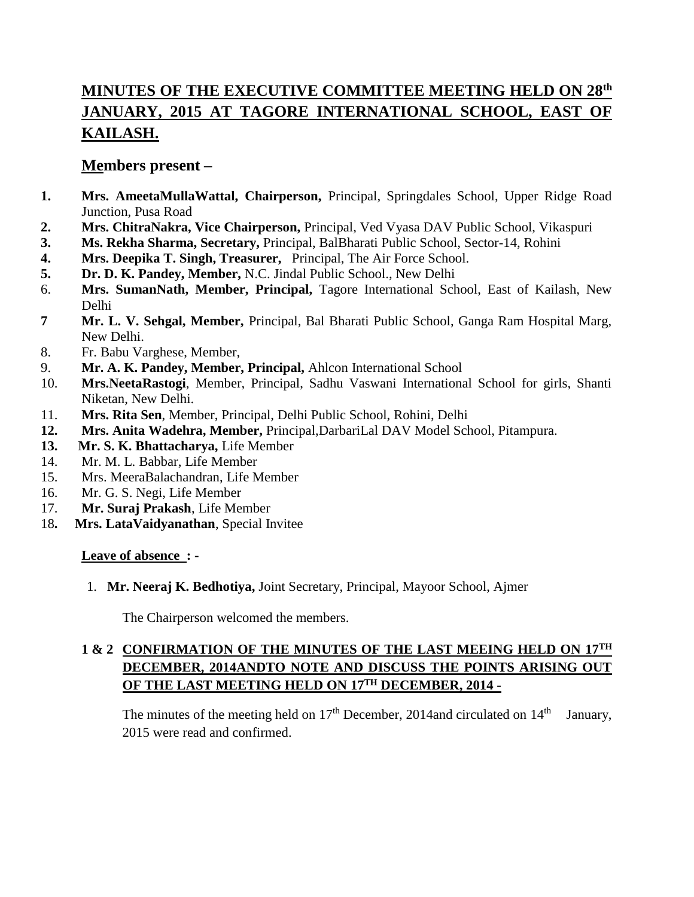# **MINUTES OF THE EXECUTIVE COMMITTEE MEETING HELD ON 28th JANUARY, 2015 AT TAGORE INTERNATIONAL SCHOOL, EAST OF KAILASH.**

# **Members present –**

- **1. Mrs. AmeetaMullaWattal, Chairperson,** Principal, Springdales School, Upper Ridge Road Junction, Pusa Road
- **2. Mrs. ChitraNakra, Vice Chairperson,** Principal, Ved Vyasa DAV Public School, Vikaspuri
- **3. Ms. Rekha Sharma, Secretary,** Principal, BalBharati Public School, Sector-14, Rohini
- **4. Mrs. Deepika T. Singh, Treasurer,** Principal, The Air Force School.
- **5. Dr. D. K. Pandey, Member,** N.C. Jindal Public School., New Delhi
- 6. **Mrs. SumanNath, Member, Principal,** Tagore International School, East of Kailash, New Delhi
- **7 Mr. L. V. Sehgal, Member,** Principal, Bal Bharati Public School, Ganga Ram Hospital Marg, New Delhi.
- 8. Fr. Babu Varghese, Member,
- 9. **Mr. A. K. Pandey, Member, Principal,** Ahlcon International School
- 10. **Mrs.NeetaRastogi**, Member, Principal, Sadhu Vaswani International School for girls, Shanti Niketan, New Delhi.
- 11. **Mrs. Rita Sen**, Member, Principal, Delhi Public School, Rohini, Delhi
- **12. Mrs. Anita Wadehra, Member,** Principal,DarbariLal DAV Model School, Pitampura.
- **13. Mr. S. K. Bhattacharya,** Life Member
- 14. Mr. M. L. Babbar, Life Member
- 15. Mrs. MeeraBalachandran, Life Member
- 16. Mr. G. S. Negi, Life Member
- 17. **Mr. Suraj Prakash**, Life Member
- 18**. Mrs. LataVaidyanathan**, Special Invitee

# **Leave of absence : -**

1. **Mr. Neeraj K. Bedhotiya,** Joint Secretary, Principal, Mayoor School, Ajmer

The Chairperson welcomed the members.

# **1 & 2 CONFIRMATION OF THE MINUTES OF THE LAST MEEING HELD ON 17TH DECEMBER, 2014ANDTO NOTE AND DISCUSS THE POINTS ARISING OUT OF THE LAST MEETING HELD ON 17TH DECEMBER, 2014 -**

The minutes of the meeting held on  $17<sup>th</sup>$  December, 2014and circulated on  $14<sup>th</sup>$  January, 2015 were read and confirmed.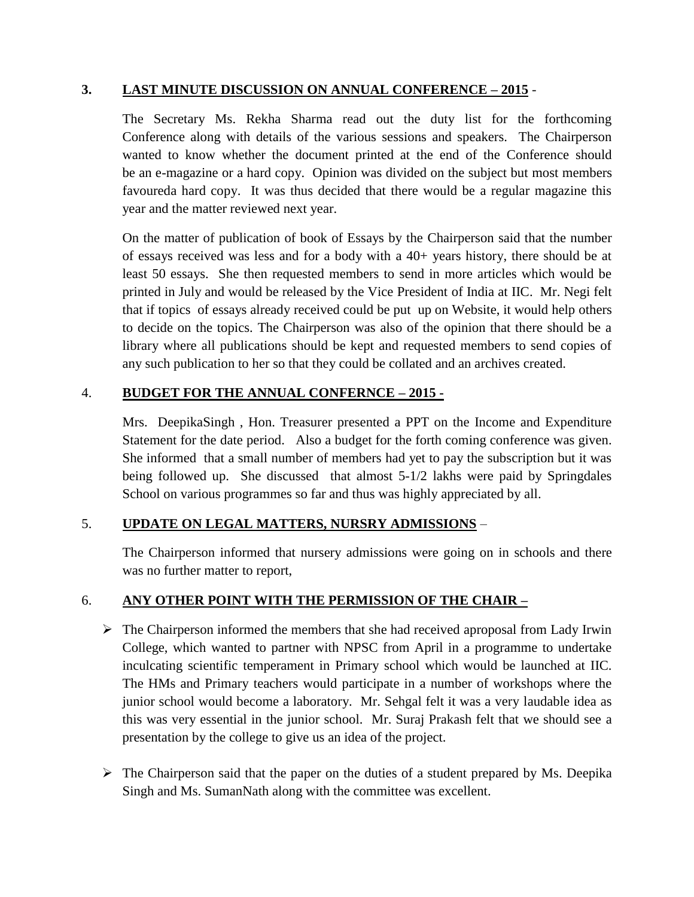#### **3. LAST MINUTE DISCUSSION ON ANNUAL CONFERENCE – 2015** -

The Secretary Ms. Rekha Sharma read out the duty list for the forthcoming Conference along with details of the various sessions and speakers. The Chairperson wanted to know whether the document printed at the end of the Conference should be an e-magazine or a hard copy. Opinion was divided on the subject but most members favoureda hard copy. It was thus decided that there would be a regular magazine this year and the matter reviewed next year.

On the matter of publication of book of Essays by the Chairperson said that the number of essays received was less and for a body with a 40+ years history, there should be at least 50 essays. She then requested members to send in more articles which would be printed in July and would be released by the Vice President of India at IIC. Mr. Negi felt that if topics of essays already received could be put up on Website, it would help others to decide on the topics. The Chairperson was also of the opinion that there should be a library where all publications should be kept and requested members to send copies of any such publication to her so that they could be collated and an archives created.

# 4. **BUDGET FOR THE ANNUAL CONFERNCE – 2015 -**

Mrs. DeepikaSingh , Hon. Treasurer presented a PPT on the Income and Expenditure Statement for the date period. Also a budget for the forth coming conference was given. She informed that a small number of members had yet to pay the subscription but it was being followed up. She discussed that almost 5-1/2 lakhs were paid by Springdales School on various programmes so far and thus was highly appreciated by all.

# 5. **UPDATE ON LEGAL MATTERS, NURSRY ADMISSIONS** –

The Chairperson informed that nursery admissions were going on in schools and there was no further matter to report,

# 6. **ANY OTHER POINT WITH THE PERMISSION OF THE CHAIR –**

- $\triangleright$  The Chairperson informed the members that she had received aproposal from Lady Irwin College, which wanted to partner with NPSC from April in a programme to undertake inculcating scientific temperament in Primary school which would be launched at IIC. The HMs and Primary teachers would participate in a number of workshops where the junior school would become a laboratory. Mr. Sehgal felt it was a very laudable idea as this was very essential in the junior school. Mr. Suraj Prakash felt that we should see a presentation by the college to give us an idea of the project.
- $\triangleright$  The Chairperson said that the paper on the duties of a student prepared by Ms. Deepika Singh and Ms. SumanNath along with the committee was excellent.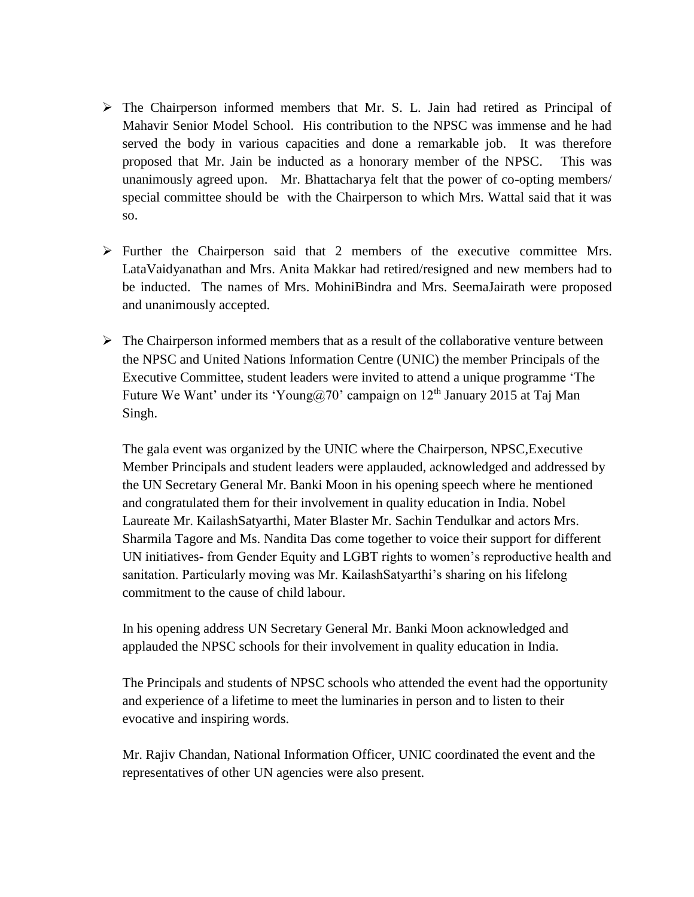- The Chairperson informed members that Mr. S. L. Jain had retired as Principal of Mahavir Senior Model School. His contribution to the NPSC was immense and he had served the body in various capacities and done a remarkable job. It was therefore proposed that Mr. Jain be inducted as a honorary member of the NPSC. This was unanimously agreed upon. Mr. Bhattacharya felt that the power of co-opting members/ special committee should be with the Chairperson to which Mrs. Wattal said that it was so.
- $\triangleright$  Further the Chairperson said that 2 members of the executive committee Mrs. LataVaidyanathan and Mrs. Anita Makkar had retired/resigned and new members had to be inducted. The names of Mrs. MohiniBindra and Mrs. SeemaJairath were proposed and unanimously accepted.
- $\triangleright$  The Chairperson informed members that as a result of the collaborative venture between the NPSC and United Nations Information Centre (UNIC) the member Principals of the Executive Committee, student leaders were invited to attend a unique programme 'The Future We Want' under its 'Young@70' campaign on  $12<sup>th</sup>$  January 2015 at Taj Man Singh.

The gala event was organized by the UNIC where the Chairperson, NPSC,Executive Member Principals and student leaders were applauded, acknowledged and addressed by the UN Secretary General Mr. Banki Moon in his opening speech where he mentioned and congratulated them for their involvement in quality education in India. Nobel Laureate Mr. KailashSatyarthi, Mater Blaster Mr. Sachin Tendulkar and actors Mrs. Sharmila Tagore and Ms. Nandita Das come together to voice their support for different UN initiatives- from Gender Equity and LGBT rights to women's reproductive health and sanitation. Particularly moving was Mr. KailashSatyarthi's sharing on his lifelong commitment to the cause of child labour.

In his opening address UN Secretary General Mr. Banki Moon acknowledged and applauded the NPSC schools for their involvement in quality education in India.

The Principals and students of NPSC schools who attended the event had the opportunity and experience of a lifetime to meet the luminaries in person and to listen to their evocative and inspiring words.

Mr. Rajiv Chandan, National Information Officer, UNIC coordinated the event and the representatives of other UN agencies were also present.